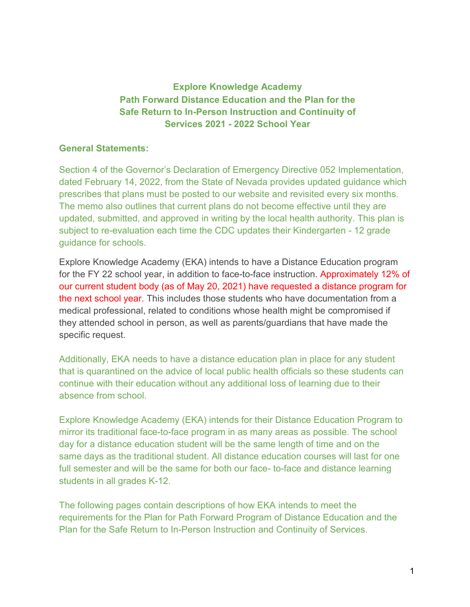# **Explore Knowledge Academy Path Forward Distance Education and the Plan for the Safe Return to In-Person Instruction and Continuity of Services 2021 - 2022 School Year**

### **General Statements:**

Section 4 of the Governor's Declaration of Emergency Directive 052 Implementation, dated February 14, 2022, from the State of Nevada provides updated guidance which prescribes that plans must be posted to our website and revisited every six months. The memo also outlines that current plans do not become effective until they are updated, submitted, and approved in writing by the local health authority. This plan is subject to re-evaluation each time the CDC updates their Kindergarten - 12 grade guidance for schools.

Explore Knowledge Academy (EKA) intends to have a Distance Education program for the FY 22 school year, in addition to face-to-face instruction. Approximately 12% of our current student body (as of May 20, 2021) have requested a distance program for the next school year. This includes those students who have documentation from a medical professional, related to conditions whose health might be compromised if they attended school in person, as well as parents/guardians that have made the specific request.

Additionally, EKA needs to have a distance education plan in place for any student that is quarantined on the advice of local public health officials so these students can continue with their education without any additional loss of learning due to their absence from school.

Explore Knowledge Academy (EKA) intends for their Distance Education Program to mirror its traditional face-to-face program in as many areas as possible. The school day for a distance education student will be the same length of time and on the same days as the traditional student. All distance education courses will last for one full semester and will be the same for both our face- to-face and distance learning students in all grades K-12.

The following pages contain descriptions of how EKA intends to meet the requirements for the Plan for Path Forward Program of Distance Education and the Plan for the Safe Return to In-Person Instruction and Continuity of Services.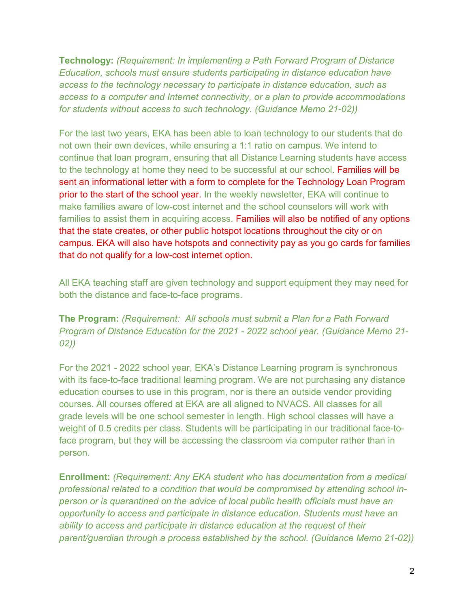**Technology:** *(Requirement: In implementing a Path Forward Program of Distance Education, schools must ensure students participating in distance education have access to the technology necessary to participate in distance education, such as access to a computer and Internet connectivity, or a plan to provide accommodations for students without access to such technology. (Guidance Memo 21-02))*

For the last two years, EKA has been able to loan technology to our students that do not own their own devices, while ensuring a 1:1 ratio on campus. We intend to continue that loan program, ensuring that all Distance Learning students have access to the technology at home they need to be successful at our school. Families will be sent an informational letter with a form to complete for the Technology Loan Program prior to the start of the school year. In the weekly newsletter, EKA will continue to make families aware of low-cost internet and the school counselors will work with families to assist them in acquiring access. Families will also be notified of any options that the state creates, or other public hotspot locations throughout the city or on campus. EKA will also have hotspots and connectivity pay as you go cards for families that do not qualify for a low-cost internet option.

All EKA teaching staff are given technology and support equipment they may need for both the distance and face-to-face programs.

**The Program:** *(Requirement: All schools must submit a Plan for a Path Forward Program of Distance Education for the 2021 - 2022 school year. (Guidance Memo 21- 02))*

For the 2021 - 2022 school year, EKA's Distance Learning program is synchronous with its face-to-face traditional learning program. We are not purchasing any distance education courses to use in this program, nor is there an outside vendor providing courses. All courses offered at EKA are all aligned to NVACS. All classes for all grade levels will be one school semester in length. High school classes will have a weight of 0.5 credits per class. Students will be participating in our traditional face-toface program, but they will be accessing the classroom via computer rather than in person.

**Enrollment:** *(Requirement: Any EKA student who has documentation from a medical professional related to a condition that would be compromised by attending school inperson or is quarantined on the advice of local public health officials must have an opportunity to access and participate in distance education. Students must have an ability to access and participate in distance education at the request of their parent/guardian through a process established by the school. (Guidance Memo 21-02))*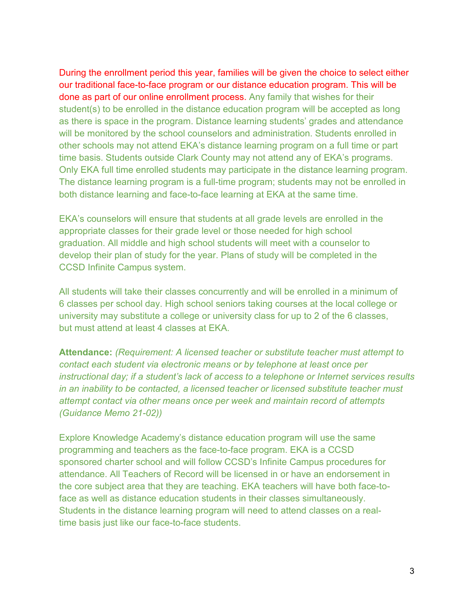During the enrollment period this year, families will be given the choice to select either our traditional face-to-face program or our distance education program. This will be done as part of our online enrollment process. Any family that wishes for their student(s) to be enrolled in the distance education program will be accepted as long as there is space in the program. Distance learning students' grades and attendance will be monitored by the school counselors and administration. Students enrolled in other schools may not attend EKA's distance learning program on a full time or part time basis. Students outside Clark County may not attend any of EKA's programs. Only EKA full time enrolled students may participate in the distance learning program. The distance learning program is a full-time program; students may not be enrolled in both distance learning and face-to-face learning at EKA at the same time.

EKA's counselors will ensure that students at all grade levels are enrolled in the appropriate classes for their grade level or those needed for high school graduation. All middle and high school students will meet with a counselor to develop their plan of study for the year. Plans of study will be completed in the CCSD Infinite Campus system.

All students will take their classes concurrently and will be enrolled in a minimum of 6 classes per school day. High school seniors taking courses at the local college or university may substitute a college or university class for up to 2 of the 6 classes, but must attend at least 4 classes at EKA.

**Attendance:** *(Requirement: A licensed teacher or substitute teacher must attempt to contact each student via electronic means or by telephone at least once per instructional day; if a student's lack of access to a telephone or Internet services results in an inability to be contacted, a licensed teacher or licensed substitute teacher must attempt contact via other means once per week and maintain record of attempts (Guidance Memo 21-02))*

Explore Knowledge Academy's distance education program will use the same programming and teachers as the face-to-face program. EKA is a CCSD sponsored charter school and will follow CCSD's Infinite Campus procedures for attendance. All Teachers of Record will be licensed in or have an endorsement in the core subject area that they are teaching. EKA teachers will have both face-toface as well as distance education students in their classes simultaneously. Students in the distance learning program will need to attend classes on a realtime basis just like our face-to-face students.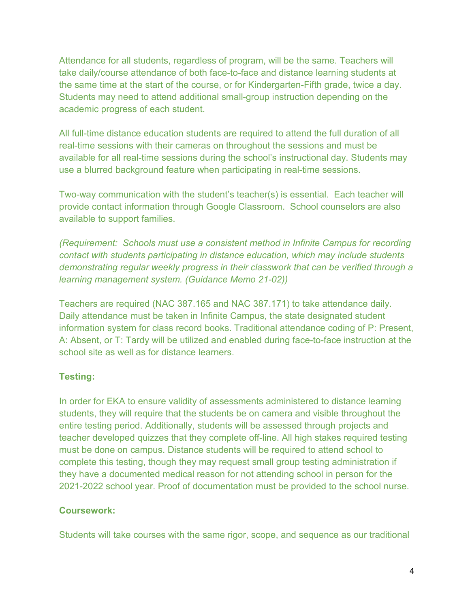Attendance for all students, regardless of program, will be the same. Teachers will take daily/course attendance of both face-to-face and distance learning students at the same time at the start of the course, or for Kindergarten-Fifth grade, twice a day. Students may need to attend additional small-group instruction depending on the academic progress of each student.

All full-time distance education students are required to attend the full duration of all real-time sessions with their cameras on throughout the sessions and must be available for all real-time sessions during the school's instructional day. Students may use a blurred background feature when participating in real-time sessions.

Two-way communication with the student's teacher(s) is essential. Each teacher will provide contact information through Google Classroom. School counselors are also available to support families.

*(Requirement: Schools must use a consistent method in Infinite Campus for recording contact with students participating in distance education, which may include students demonstrating regular weekly progress in their classwork that can be verified through a learning management system. (Guidance Memo 21-02))*

Teachers are required (NAC 387.165 and NAC 387.171) to take attendance daily. Daily attendance must be taken in Infinite Campus, the state designated student information system for class record books. Traditional attendance coding of P: Present, A: Absent, or T: Tardy will be utilized and enabled during face-to-face instruction at the school site as well as for distance learners.

## **Testing:**

In order for EKA to ensure validity of assessments administered to distance learning students, they will require that the students be on camera and visible throughout the entire testing period. Additionally, students will be assessed through projects and teacher developed quizzes that they complete off-line. All high stakes required testing must be done on campus. Distance students will be required to attend school to complete this testing, though they may request small group testing administration if they have a documented medical reason for not attending school in person for the 2021-2022 school year. Proof of documentation must be provided to the school nurse.

## **Coursework:**

Students will take courses with the same rigor, scope, and sequence as our traditional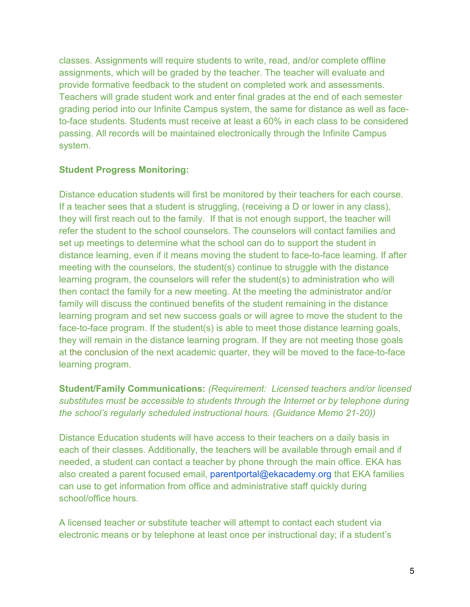classes. Assignments will require students to write, read, and/or complete offline assignments, which will be graded by the teacher. The teacher will evaluate and provide formative feedback to the student on completed work and assessments. Teachers will grade student work and enter final grades at the end of each semester grading period into our Infinite Campus system, the same for distance as well as faceto-face students. Students must receive at least a 60% in each class to be considered passing. All records will be maintained electronically through the Infinite Campus system.

### **Student Progress Monitoring:**

Distance education students will first be monitored by their teachers for each course. If a teacher sees that a student is struggling, (receiving a D or lower in any class), they will first reach out to the family. If that is not enough support, the teacher will refer the student to the school counselors. The counselors will contact families and set up meetings to determine what the school can do to support the student in distance learning, even if it means moving the student to face-to-face learning. If after meeting with the counselors, the student(s) continue to struggle with the distance learning program, the counselors will refer the student(s) to administration who will then contact the family for a new meeting. At the meeting the administrator and/or family will discuss the continued benefits of the student remaining in the distance learning program and set new success goals or will agree to move the student to the face-to-face program. If the student(s) is able to meet those distance learning goals, they will remain in the distance learning program. If they are not meeting those goals at the conclusion of the next academic quarter, they will be moved to the face-to-face learning program.

**Student/Family Communications:** *(Requirement: Licensed teachers and/or licensed substitutes must be accessible to students through the Internet or by telephone during the school's regularly scheduled instructional hours. (Guidance Memo 21-20))*

Distance Education students will have access to their teachers on a daily basis in each of their classes. Additionally, the teachers will be available through email and if needed, a student can contact a teacher by phone through the main office. EKA has also created a parent focused email, parentportal@ekacademy.org that EKA families can use to get information from office and administrative staff quickly during school/office hours.

A licensed teacher or substitute teacher will attempt to contact each student via electronic means or by telephone at least once per instructional day; if a student's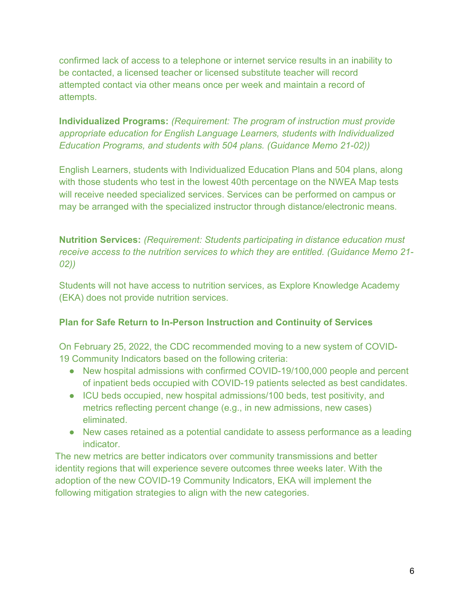confirmed lack of access to a telephone or internet service results in an inability to be contacted, a licensed teacher or licensed substitute teacher will record attempted contact via other means once per week and maintain a record of attempts.

**Individualized Programs:** *(Requirement: The program of instruction must provide appropriate education for English Language Learners, students with Individualized Education Programs, and students with 504 plans. (Guidance Memo 21-02))*

English Learners, students with Individualized Education Plans and 504 plans, along with those students who test in the lowest 40th percentage on the NWEA Map tests will receive needed specialized services. Services can be performed on campus or may be arranged with the specialized instructor through distance/electronic means.

**Nutrition Services:** *(Requirement: Students participating in distance education must receive access to the nutrition services to which they are entitled. (Guidance Memo 21- 02))*

Students will not have access to nutrition services, as Explore Knowledge Academy (EKA) does not provide nutrition services.

## **Plan for Safe Return to In-Person Instruction and Continuity of Services**

On February 25, 2022, the CDC recommended moving to a new system of COVID-19 Community Indicators based on the following criteria:

- New hospital admissions with confirmed COVID-19/100,000 people and percent of inpatient beds occupied with COVID-19 patients selected as best candidates.
- ICU beds occupied, new hospital admissions/100 beds, test positivity, and metrics reflecting percent change (e.g., in new admissions, new cases) eliminated.
- New cases retained as a potential candidate to assess performance as a leading indicator.

The new metrics are better indicators over community transmissions and better identity regions that will experience severe outcomes three weeks later. With the adoption of the new COVID-19 Community Indicators, EKA will implement the following mitigation strategies to align with the new categories.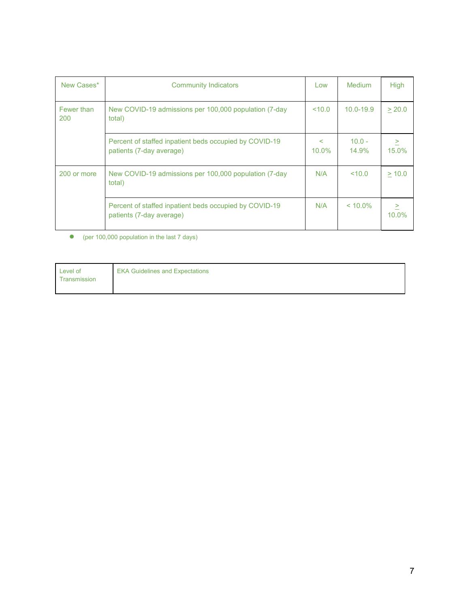| New Cases*        | <b>Community Indicators</b>                                                        | Low                     | Medium            | <b>High</b>        |
|-------------------|------------------------------------------------------------------------------------|-------------------------|-------------------|--------------------|
| Fewer than<br>200 | New COVID-19 admissions per 100,000 population (7-day<br>total)                    | 10.0                    | $10.0 - 19.9$     | > 20.0             |
|                   | Percent of staffed inpatient beds occupied by COVID-19<br>patients (7-day average) | $\overline{a}$<br>10.0% | $10.0 -$<br>14.9% | ><br>15.0%         |
| 200 or more       | New COVID-19 admissions per 100,000 population (7-day<br>total)                    | N/A                     | < 10.0            | > 10.0             |
|                   | Percent of staffed inpatient beds occupied by COVID-19<br>patients (7-day average) | N/A                     | $< 10.0\%$        | $\geq$<br>$10.0\%$ |

● (per 100,000 population in the last 7 days)

| Level of<br>Transmission | <b>EKA Guidelines and Expectations</b> |
|--------------------------|----------------------------------------|
|                          |                                        |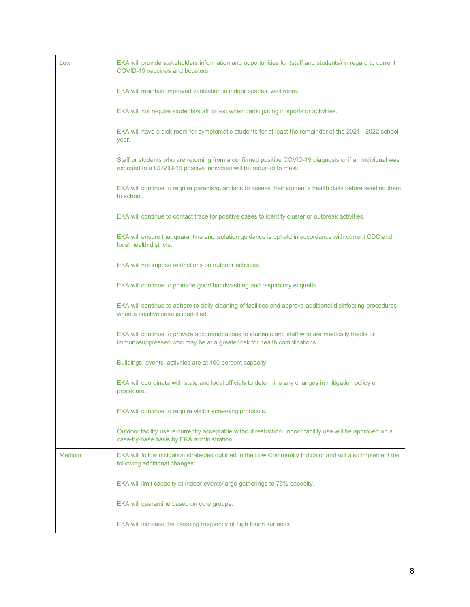| Low           | EKA will provide stakeholders information and opportunities for (staff and students) in regard to current<br>COVID-19 vaccines and boosters.                                    |
|---------------|---------------------------------------------------------------------------------------------------------------------------------------------------------------------------------|
|               | EKA will maintain improved ventilation in indoor spaces; well room.                                                                                                             |
|               | EKA will not require students/staff to test when participating in sports or activities.                                                                                         |
|               | EKA will have a sick room for symptomatic students for at least the remainder of the 2021 - 2022 school<br>year.                                                                |
|               | Staff or students who are returning from a confirmed positive COVID-19 diagnosis or if an individual was<br>exposed to a COVID-19 positive individual will be required to mask. |
|               | EKA will continue to require parents/guardians to assess their student's health daily before sending them<br>to school.                                                         |
|               | EKA will continue to contact trace for positive cases to identify cluster or outbreak activities.                                                                               |
|               | EKA will ensure that quarantine and isolation guidance is upheld in accordance with current CDC and<br>local health districts.                                                  |
|               | EKA will not impose restrictions on outdoor activities.                                                                                                                         |
|               | EKA will continue to promote good handwashing and respiratory etiquette.                                                                                                        |
|               | EKA will continue to adhere to daily cleaning of facilities and approve additional disinfecting procedures<br>when a positive case is identified.                               |
|               | EKA will continue to provide accommodations to students and staff who are medically fragile or<br>immunosuppressed who may be at a greater risk for health complications.       |
|               | Buildings, events, activities are at 100 percent capacity.                                                                                                                      |
|               | EKA will coordinate with state and local officials to determine any changes in mitigation policy or<br>procedure.                                                               |
|               | EKA will continue to require visitor screening protocols.                                                                                                                       |
|               | Outdoor facility use is currently acceptable without restriction. Indoor facility use will be approved on a<br>case-by-base basis by EKA administration.                        |
| <b>Medium</b> | EKA will follow mitigation strategies outlined in the Low Community Indicator and will also implement the<br>following additional changes:                                      |
|               | EKA will limit capacity at indoor events/large gatherings to 75% capacity.                                                                                                      |
|               | EKA will quarantine based on core groups.                                                                                                                                       |
|               | EKA will increase the cleaning frequency of high touch surfaces                                                                                                                 |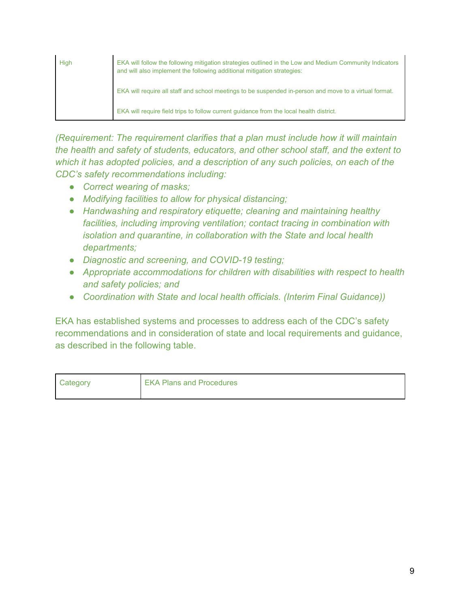| High | EKA will follow the following mitigation strategies outlined in the Low and Medium Community Indicators<br>and will also implement the following additional mitigation strategies: |
|------|------------------------------------------------------------------------------------------------------------------------------------------------------------------------------------|
|      | EKA will require all staff and school meetings to be suspended in-person and move to a virtual format.                                                                             |
|      | EKA will require field trips to follow current quidance from the local health district.                                                                                            |

*(Requirement: The requirement clarifies that a plan must include how it will maintain the health and safety of students, educators, and other school staff, and the extent to which it has adopted policies, and a description of any such policies, on each of the CDC's safety recommendations including:*

- *Correct wearing of masks;*
- *Modifying facilities to allow for physical distancing;*
- *Handwashing and respiratory etiquette; cleaning and maintaining healthy facilities, including improving ventilation; contact tracing in combination with isolation and quarantine, in collaboration with the State and local health departments;*
- *Diagnostic and screening, and COVID-19 testing;*
- *Appropriate accommodations for children with disabilities with respect to health and safety policies; and*
- *Coordination with State and local health officials. (Interim Final Guidance))*

EKA has established systems and processes to address each of the CDC's safety recommendations and in consideration of state and local requirements and guidance, as described in the following table.

| Category | <b>EKA Plans and Procedures</b> |
|----------|---------------------------------|
|          |                                 |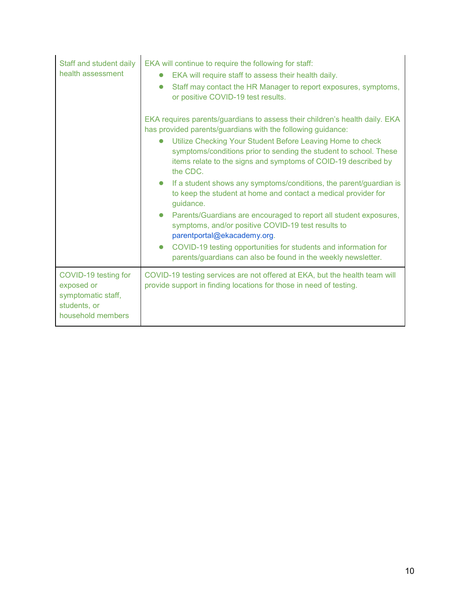| Staff and student daily<br>health assessment                                                  | EKA will continue to require the following for staff:<br>EKA will require staff to assess their health daily.<br>Staff may contact the HR Manager to report exposures, symptoms,<br>$\bullet$<br>or positive COVID-19 test results.                                                                                                                                                                                                                                                                                                                                                                                                                                                                                                                                                                                                                   |
|-----------------------------------------------------------------------------------------------|-------------------------------------------------------------------------------------------------------------------------------------------------------------------------------------------------------------------------------------------------------------------------------------------------------------------------------------------------------------------------------------------------------------------------------------------------------------------------------------------------------------------------------------------------------------------------------------------------------------------------------------------------------------------------------------------------------------------------------------------------------------------------------------------------------------------------------------------------------|
|                                                                                               | EKA requires parents/guardians to assess their children's health daily. EKA<br>has provided parents/guardians with the following guidance:<br>Utilize Checking Your Student Before Leaving Home to check<br>symptoms/conditions prior to sending the student to school. These<br>items relate to the signs and symptoms of COID-19 described by<br>the CDC.<br>If a student shows any symptoms/conditions, the parent/guardian is<br>$\bullet$<br>to keep the student at home and contact a medical provider for<br>guidance.<br>Parents/Guardians are encouraged to report all student exposures,<br>$\bullet$<br>symptoms, and/or positive COVID-19 test results to<br>parentportal@ekacademy.org.<br>COVID-19 testing opportunities for students and information for<br>$\bullet$<br>parents/guardians can also be found in the weekly newsletter. |
| COVID-19 testing for<br>exposed or<br>symptomatic staff,<br>students, or<br>household members | COVID-19 testing services are not offered at EKA, but the health team will<br>provide support in finding locations for those in need of testing.                                                                                                                                                                                                                                                                                                                                                                                                                                                                                                                                                                                                                                                                                                      |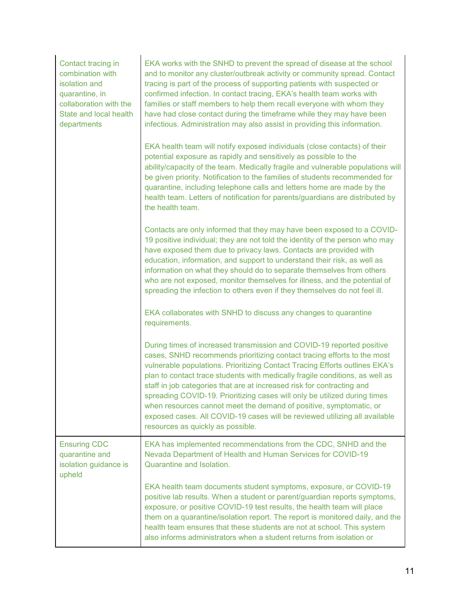| Contact tracing in<br>combination with<br>isolation and<br>quarantine, in<br>collaboration with the<br>State and local health<br>departments | EKA works with the SNHD to prevent the spread of disease at the school<br>and to monitor any cluster/outbreak activity or community spread. Contact<br>tracing is part of the process of supporting patients with suspected or<br>confirmed infection. In contact tracing, EKA's health team works with<br>families or staff members to help them recall everyone with whom they<br>have had close contact during the timeframe while they may have been<br>infectious. Administration may also assist in providing this information.                                                                                                                           |
|----------------------------------------------------------------------------------------------------------------------------------------------|-----------------------------------------------------------------------------------------------------------------------------------------------------------------------------------------------------------------------------------------------------------------------------------------------------------------------------------------------------------------------------------------------------------------------------------------------------------------------------------------------------------------------------------------------------------------------------------------------------------------------------------------------------------------|
|                                                                                                                                              | EKA health team will notify exposed individuals (close contacts) of their<br>potential exposure as rapidly and sensitively as possible to the<br>ability/capacity of the team. Medically fragile and vulnerable populations will<br>be given priority. Notification to the families of students recommended for<br>quarantine, including telephone calls and letters home are made by the<br>health team. Letters of notification for parents/guardians are distributed by<br>the health team.                                                                                                                                                                  |
|                                                                                                                                              | Contacts are only informed that they may have been exposed to a COVID-<br>19 positive individual; they are not told the identity of the person who may<br>have exposed them due to privacy laws. Contacts are provided with<br>education, information, and support to understand their risk, as well as<br>information on what they should do to separate themselves from others<br>who are not exposed, monitor themselves for illness, and the potential of<br>spreading the infection to others even if they themselves do not feel ill.                                                                                                                     |
|                                                                                                                                              | EKA collaborates with SNHD to discuss any changes to quarantine<br>requirements.                                                                                                                                                                                                                                                                                                                                                                                                                                                                                                                                                                                |
|                                                                                                                                              | During times of increased transmission and COVID-19 reported positive<br>cases, SNHD recommends prioritizing contact tracing efforts to the most<br>vulnerable populations. Prioritizing Contact Tracing Efforts outlines EKA's<br>plan to contact trace students with medically fragile conditions, as well as<br>staff in job categories that are at increased risk for contracting and<br>spreading COVID-19. Prioritizing cases will only be utilized during times<br>when resources cannot meet the demand of positive, symptomatic, or<br>exposed cases. All COVID-19 cases will be reviewed utilizing all available<br>resources as quickly as possible. |
| <b>Ensuring CDC</b><br>quarantine and<br>isolation guidance is<br>upheld                                                                     | EKA has implemented recommendations from the CDC, SNHD and the<br>Nevada Department of Health and Human Services for COVID-19<br>Quarantine and Isolation.                                                                                                                                                                                                                                                                                                                                                                                                                                                                                                      |
|                                                                                                                                              | EKA health team documents student symptoms, exposure, or COVID-19<br>positive lab results. When a student or parent/guardian reports symptoms,<br>exposure, or positive COVID-19 test results, the health team will place<br>them on a quarantine/isolation report. The report is monitored daily, and the<br>health team ensures that these students are not at school. This system<br>also informs administrators when a student returns from isolation or                                                                                                                                                                                                    |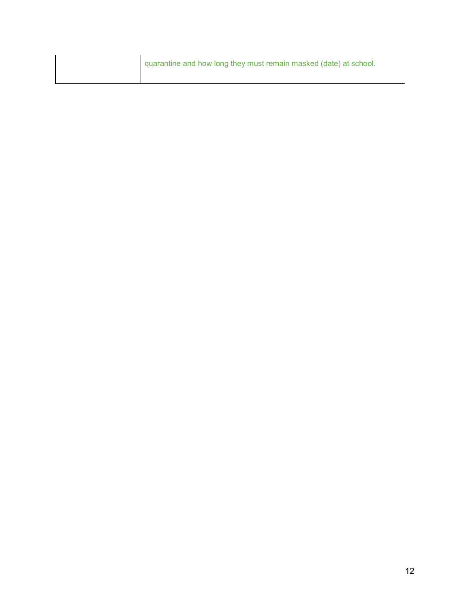quarantine and how long they must remain masked (date) at school.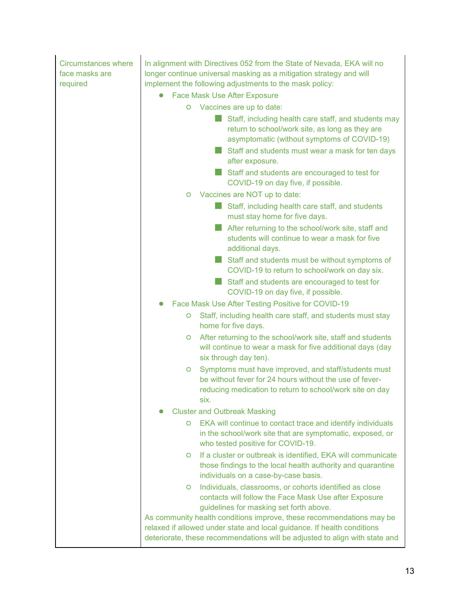| <b>Circumstances where</b><br>face masks are<br>required | In alignment with Directives 052 from the State of Nevada, EKA will no<br>longer continue universal masking as a mitigation strategy and will<br>implement the following adjustments to the mask policy:<br><b>Face Mask Use After Exposure</b><br>Vaccines are up to date:<br>O<br>Staff, including health care staff, and students may<br>return to school/work site, as long as they are<br>asymptomatic (without symptoms of COVID-19)<br>Staff and students must wear a mask for ten days<br>after exposure.<br>Staff and students are encouraged to test for<br>COVID-19 on day five, if possible. |
|----------------------------------------------------------|----------------------------------------------------------------------------------------------------------------------------------------------------------------------------------------------------------------------------------------------------------------------------------------------------------------------------------------------------------------------------------------------------------------------------------------------------------------------------------------------------------------------------------------------------------------------------------------------------------|
|                                                          | Vaccines are NOT up to date:<br>O                                                                                                                                                                                                                                                                                                                                                                                                                                                                                                                                                                        |
|                                                          | Staff, including health care staff, and students<br>must stay home for five days.                                                                                                                                                                                                                                                                                                                                                                                                                                                                                                                        |
|                                                          | After returning to the school/work site, staff and<br>students will continue to wear a mask for five<br>additional days.                                                                                                                                                                                                                                                                                                                                                                                                                                                                                 |
|                                                          | Staff and students must be without symptoms of<br>COVID-19 to return to school/work on day six.                                                                                                                                                                                                                                                                                                                                                                                                                                                                                                          |
|                                                          | Staff and students are encouraged to test for<br>COVID-19 on day five, if possible.                                                                                                                                                                                                                                                                                                                                                                                                                                                                                                                      |
|                                                          | Face Mask Use After Testing Positive for COVID-19                                                                                                                                                                                                                                                                                                                                                                                                                                                                                                                                                        |
|                                                          | Staff, including health care staff, and students must stay<br>O<br>home for five days.                                                                                                                                                                                                                                                                                                                                                                                                                                                                                                                   |
|                                                          | After returning to the school/work site, staff and students<br>$\circ$<br>will continue to wear a mask for five additional days (day<br>six through day ten).                                                                                                                                                                                                                                                                                                                                                                                                                                            |
|                                                          | Symptoms must have improved, and staff/students must<br>O<br>be without fever for 24 hours without the use of fever-<br>reducing medication to return to school/work site on day<br>SIX.                                                                                                                                                                                                                                                                                                                                                                                                                 |
|                                                          | <b>Cluster and Outbreak Masking</b>                                                                                                                                                                                                                                                                                                                                                                                                                                                                                                                                                                      |
|                                                          | EKA will continue to contact trace and identify individuals<br>O<br>in the school/work site that are symptomatic, exposed, or<br>who tested positive for COVID-19.                                                                                                                                                                                                                                                                                                                                                                                                                                       |
|                                                          | If a cluster or outbreak is identified, EKA will communicate<br>$\circ$<br>those findings to the local health authority and quarantine<br>individuals on a case-by-case basis.                                                                                                                                                                                                                                                                                                                                                                                                                           |
|                                                          | Individuals, classrooms, or cohorts identified as close<br>$\circ$<br>contacts will follow the Face Mask Use after Exposure<br>guidelines for masking set forth above.                                                                                                                                                                                                                                                                                                                                                                                                                                   |
|                                                          | As community health conditions improve, these recommendations may be<br>relaxed if allowed under state and local guidance. If health conditions<br>deteriorate, these recommendations will be adjusted to align with state and                                                                                                                                                                                                                                                                                                                                                                           |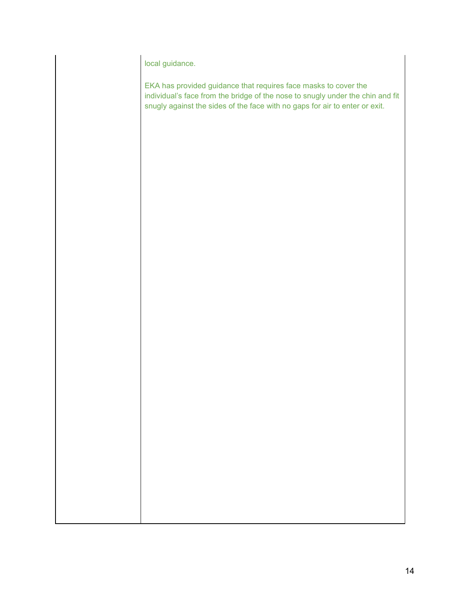local guidance.

EKA has provided guidance that requires face masks to cover the individual's face from the bridge of the nose to snugly under the chin and fit snugly against the sides of the face with no gaps for air to enter or exit.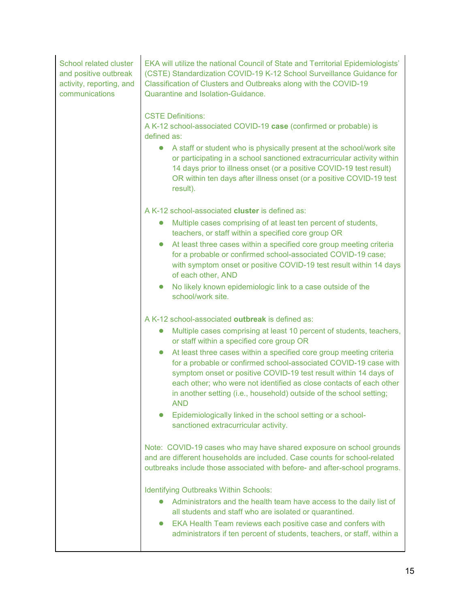| School related cluster   |  |  |
|--------------------------|--|--|
| and positive outbreak    |  |  |
| activity, reporting, and |  |  |
| communications           |  |  |

EKA will utilize the national Council of State and Territorial Epidemiologists' (CSTE) Standardization COVID-19 K-12 School Surveillance Guidance for Classification of Clusters and Outbreaks along with the COVID-19 Quarantine and Isolation-Guidance.

#### CSTE Definitions:

A K-12 school-associated COVID-19 **case** (confirmed or probable) is defined as:

● A staff or student who is physically present at the school/work site or participating in a school sanctioned extracurricular activity within 14 days prior to illness onset (or a positive COVID-19 test result) OR within ten days after illness onset (or a positive COVID-19 test result).

A K-12 school-associated **cluster** is defined as:

- Multiple cases comprising of at least ten percent of students, teachers, or staff within a specified core group OR
- At least three cases within a specified core group meeting criteria for a probable or confirmed school-associated COVID-19 case; with symptom onset or positive COVID-19 test result within 14 days of each other, AND
- No likely known epidemiologic link to a case outside of the school/work site.

A K-12 school-associated **outbreak** is defined as:

- Multiple cases comprising at least 10 percent of students, teachers, or staff within a specified core group OR
- At least three cases within a specified core group meeting criteria for a probable or confirmed school-associated COVID-19 case with symptom onset or positive COVID-19 test result within 14 days of each other; who were not identified as close contacts of each other in another setting (i.e., household) outside of the school setting; AND
- Epidemiologically linked in the school setting or a schoolsanctioned extracurricular activity.

Note: COVID-19 cases who may have shared exposure on school grounds and are different households are included. Case counts for school-related outbreaks include those associated with before- and after-school programs.

Identifying Outbreaks Within Schools:

- Administrators and the health team have access to the daily list of all students and staff who are isolated or quarantined.
- EKA Health Team reviews each positive case and confers with administrators if ten percent of students, teachers, or staff, within a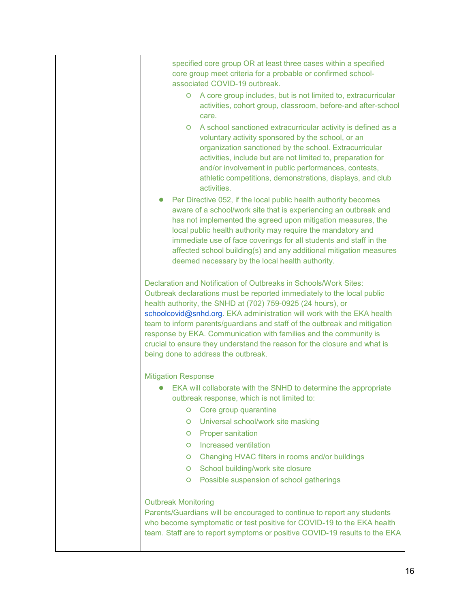specified core group OR at least three cases within a specified core group meet criteria for a probable or confirmed schoolassociated COVID-19 outbreak.

- A core group includes, but is not limited to, extracurricular activities, cohort group, classroom, before-and after-school care.
- A school sanctioned extracurricular activity is defined as a voluntary activity sponsored by the school, or an organization sanctioned by the school. Extracurricular activities, include but are not limited to, preparation for and/or involvement in public performances, contests, athletic competitions, demonstrations, displays, and club activities.
- **Per Directive 052, if the local public health authority becomes** aware of a school/work site that is experiencing an outbreak and has not implemented the agreed upon mitigation measures, the local public health authority may require the mandatory and immediate use of face coverings for all students and staff in the affected school building(s) and any additional mitigation measures deemed necessary by the local health authority.

Declaration and Notification of Outbreaks in Schools/Work Sites: Outbreak declarations must be reported immediately to the local public health authority, the SNHD at (702) 759-0925 (24 hours), or schoolcovid@snhd.org. EKA administration will work with the EKA health team to inform parents/guardians and staff of the outbreak and mitigation response by EKA. Communication with families and the community is crucial to ensure they understand the reason for the closure and what is being done to address the outbreak.

Mitigation Response

- EKA will collaborate with the SNHD to determine the appropriate outbreak response, which is not limited to:
	- Core group quarantine
	- Universal school/work site masking
	- Proper sanitation
	- Increased ventilation
	- Changing HVAC filters in rooms and/or buildings
	- School building/work site closure
	- Possible suspension of school gatherings

#### Outbreak Monitoring

Parents/Guardians will be encouraged to continue to report any students who become symptomatic or test positive for COVID-19 to the EKA health team. Staff are to report symptoms or positive COVID-19 results to the EKA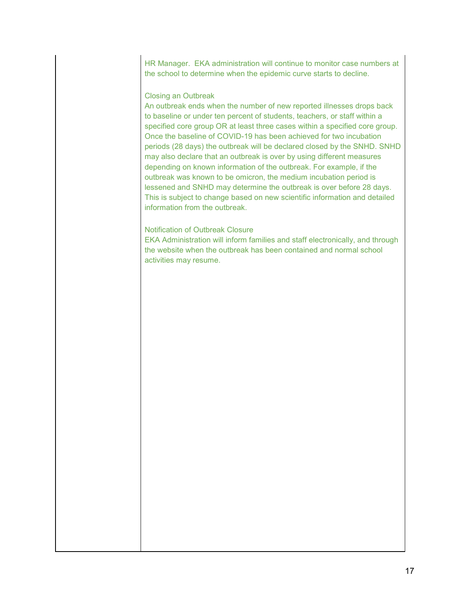HR Manager. EKA administration will continue to monitor case numbers at the school to determine when the epidemic curve starts to decline.

#### Closing an Outbreak

An outbreak ends when the number of new reported illnesses drops back to baseline or under ten percent of students, teachers, or staff within a specified core group OR at least three cases within a specified core group. Once the baseline of COVID-19 has been achieved for two incubation periods (28 days) the outbreak will be declared closed by the SNHD. SNHD may also declare that an outbreak is over by using different measures depending on known information of the outbreak. For example, if the outbreak was known to be omicron, the medium incubation period is lessened and SNHD may determine the outbreak is over before 28 days. This is subject to change based on new scientific information and detailed information from the outbreak.

#### Notification of Outbreak Closure

EKA Administration will inform families and staff electronically, and through the website when the outbreak has been contained and normal school activities may resume.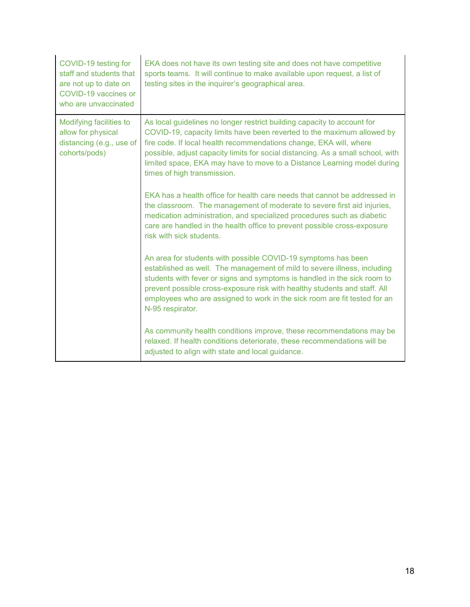| COVID-19 testing for<br>staff and students that<br>are not up to date on<br>COVID-19 vaccines or<br>who are unvaccinated | EKA does not have its own testing site and does not have competitive<br>sports teams. It will continue to make available upon request, a list of<br>testing sites in the inquirer's geographical area.                                                                                                                                                                                                                                                                                            |
|--------------------------------------------------------------------------------------------------------------------------|---------------------------------------------------------------------------------------------------------------------------------------------------------------------------------------------------------------------------------------------------------------------------------------------------------------------------------------------------------------------------------------------------------------------------------------------------------------------------------------------------|
| Modifying facilities to<br>allow for physical<br>distancing (e.g., use of<br>cohorts/pods)                               | As local guidelines no longer restrict building capacity to account for<br>COVID-19, capacity limits have been reverted to the maximum allowed by<br>fire code. If local health recommendations change, EKA will, where<br>possible, adjust capacity limits for social distancing. As a small school, with<br>limited space, EKA may have to move to a Distance Learning model during<br>times of high transmission.<br>EKA has a health office for health care needs that cannot be addressed in |
|                                                                                                                          | the classroom. The management of moderate to severe first aid injuries,<br>medication administration, and specialized procedures such as diabetic<br>care are handled in the health office to prevent possible cross-exposure<br>risk with sick students.                                                                                                                                                                                                                                         |
|                                                                                                                          | An area for students with possible COVID-19 symptoms has been<br>established as well. The management of mild to severe illness, including<br>students with fever or signs and symptoms is handled in the sick room to<br>prevent possible cross-exposure risk with healthy students and staff. All<br>employees who are assigned to work in the sick room are fit tested for an<br>N-95 respirator.                                                                                               |
|                                                                                                                          | As community health conditions improve, these recommendations may be<br>relaxed. If health conditions deteriorate, these recommendations will be<br>adjusted to align with state and local guidance.                                                                                                                                                                                                                                                                                              |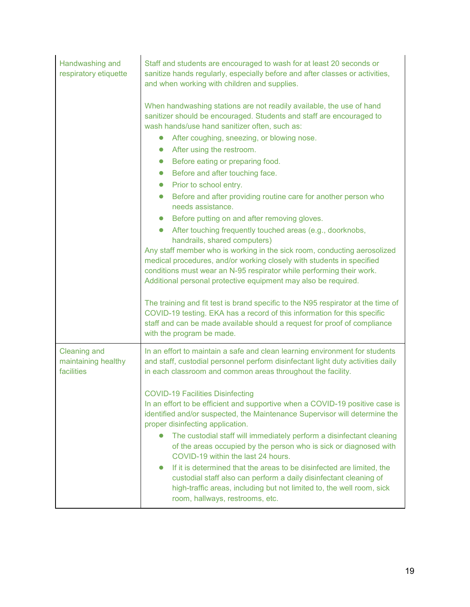| Handwashing and<br>respiratory etiquette                 | Staff and students are encouraged to wash for at least 20 seconds or<br>sanitize hands regularly, especially before and after classes or activities,<br>and when working with children and supplies.                                                                                                                                                                                                                                                                                                                                                                                                                                                                                                                                                                                                                                                                                                                                                                                                                                                                                                     |  |  |
|----------------------------------------------------------|----------------------------------------------------------------------------------------------------------------------------------------------------------------------------------------------------------------------------------------------------------------------------------------------------------------------------------------------------------------------------------------------------------------------------------------------------------------------------------------------------------------------------------------------------------------------------------------------------------------------------------------------------------------------------------------------------------------------------------------------------------------------------------------------------------------------------------------------------------------------------------------------------------------------------------------------------------------------------------------------------------------------------------------------------------------------------------------------------------|--|--|
|                                                          | When handwashing stations are not readily available, the use of hand<br>sanitizer should be encouraged. Students and staff are encouraged to<br>wash hands/use hand sanitizer often, such as:<br>After coughing, sneezing, or blowing nose.<br>$\bullet$<br>After using the restroom.<br>$\bullet$<br>Before eating or preparing food.<br>$\bullet$<br>Before and after touching face.<br>$\bullet$<br>Prior to school entry.<br>$\bullet$<br>Before and after providing routine care for another person who<br>$\bullet$<br>needs assistance.<br>Before putting on and after removing gloves.<br>$\bullet$<br>After touching frequently touched areas (e.g., doorknobs,<br>$\bullet$<br>handrails, shared computers)<br>Any staff member who is working in the sick room, conducting aerosolized<br>medical procedures, and/or working closely with students in specified<br>conditions must wear an N-95 respirator while performing their work.<br>Additional personal protective equipment may also be required.<br>The training and fit test is brand specific to the N95 respirator at the time of |  |  |
|                                                          | COVID-19 testing. EKA has a record of this information for this specific<br>staff and can be made available should a request for proof of compliance<br>with the program be made.                                                                                                                                                                                                                                                                                                                                                                                                                                                                                                                                                                                                                                                                                                                                                                                                                                                                                                                        |  |  |
| <b>Cleaning and</b><br>maintaining healthy<br>facilities | In an effort to maintain a safe and clean learning environment for students<br>and staff, custodial personnel perform disinfectant light duty activities daily<br>in each classroom and common areas throughout the facility.                                                                                                                                                                                                                                                                                                                                                                                                                                                                                                                                                                                                                                                                                                                                                                                                                                                                            |  |  |
|                                                          | <b>COVID-19 Facilities Disinfecting</b><br>In an effort to be efficient and supportive when a COVID-19 positive case is<br>identified and/or suspected, the Maintenance Supervisor will determine the<br>proper disinfecting application.<br>The custodial staff will immediately perform a disinfectant cleaning<br>$\bullet$<br>of the areas occupied by the person who is sick or diagnosed with<br>COVID-19 within the last 24 hours.<br>If it is determined that the areas to be disinfected are limited, the<br>$\bullet$<br>custodial staff also can perform a daily disinfectant cleaning of<br>high-traffic areas, including but not limited to, the well room, sick<br>room, hallways, restrooms, etc.                                                                                                                                                                                                                                                                                                                                                                                         |  |  |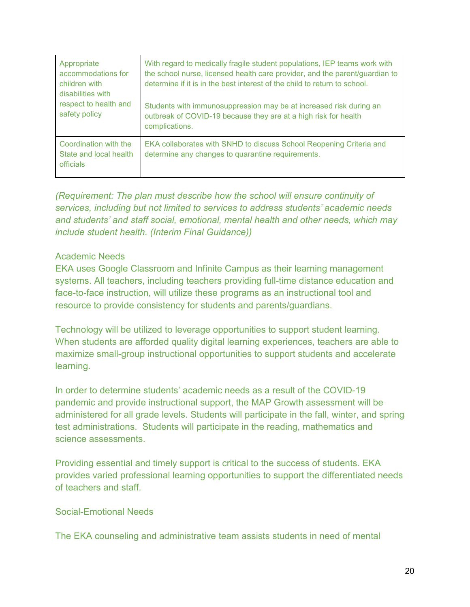| Appropriate<br>accommodations for<br>children with<br>disabilities with | With regard to medically fragile student populations, IEP teams work with<br>the school nurse, licensed health care provider, and the parent/guardian to<br>determine if it is in the best interest of the child to return to school. |
|-------------------------------------------------------------------------|---------------------------------------------------------------------------------------------------------------------------------------------------------------------------------------------------------------------------------------|
| respect to health and<br>safety policy                                  | Students with immunosuppression may be at increased risk during an<br>outbreak of COVID-19 because they are at a high risk for health<br>complications.                                                                               |
| Coordination with the<br>State and local health<br>officials            | EKA collaborates with SNHD to discuss School Reopening Criteria and<br>determine any changes to quarantine requirements.                                                                                                              |

*(Requirement: The plan must describe how the school will ensure continuity of services, including but not limited to services to address students' academic needs and students' and staff social, emotional, mental health and other needs, which may include student health. (Interim Final Guidance))*

### Academic Needs

EKA uses Google Classroom and Infinite Campus as their learning management systems. All teachers, including teachers providing full-time distance education and face-to-face instruction, will utilize these programs as an instructional tool and resource to provide consistency for students and parents/guardians.

Technology will be utilized to leverage opportunities to support student learning. When students are afforded quality digital learning experiences, teachers are able to maximize small-group instructional opportunities to support students and accelerate learning.

In order to determine students' academic needs as a result of the COVID-19 pandemic and provide instructional support, the MAP Growth assessment will be administered for all grade levels. Students will participate in the fall, winter, and spring test administrations. Students will participate in the reading, mathematics and science assessments.

Providing essential and timely support is critical to the success of students. EKA provides varied professional learning opportunities to support the differentiated needs of teachers and staff.

### Social-Emotional Needs

The EKA counseling and administrative team assists students in need of mental